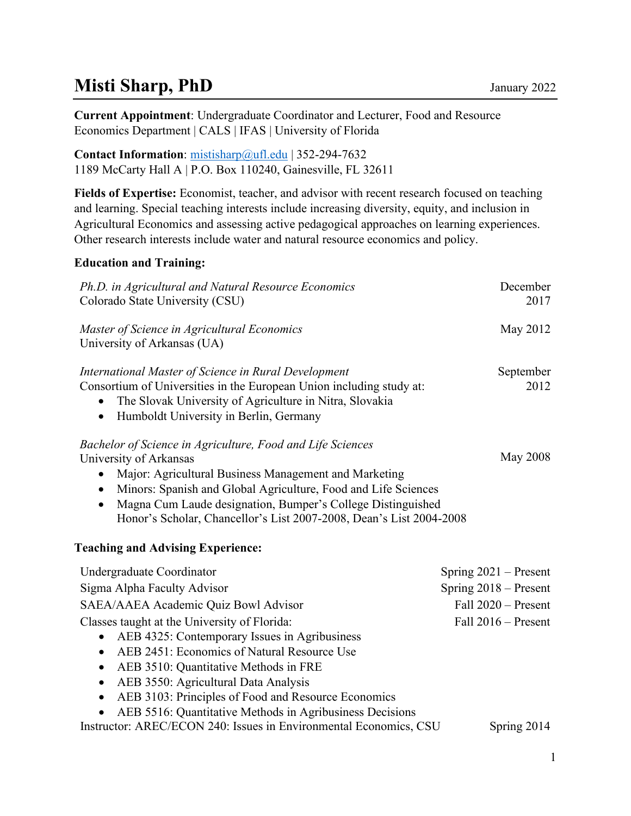# **Misti Sharp, PhD** January 2022

**Current Appointment**: Undergraduate Coordinator and Lecturer, Food and Resource Economics Department | CALS | IFAS | University of Florida

**Contact Information**: [mistisharp@ufl.edu](mailto:mistisharp@ufl.edu) | 352-294-7632 1189 McCarty Hall A | P.O. Box 110240, Gainesville, FL 32611

**Fields of Expertise:** Economist, teacher, and advisor with recent research focused on teaching and learning. Special teaching interests include increasing diversity, equity, and inclusion in Agricultural Economics and assessing active pedagogical approaches on learning experiences. Other research interests include water and natural resource economics and policy.

## **Education and Training:**

| Ph.D. in Agricultural and Natural Resource Economics<br>Colorado State University (CSU)                                                                                                                                                                                                                                                                                                                   | December<br>2017        |
|-----------------------------------------------------------------------------------------------------------------------------------------------------------------------------------------------------------------------------------------------------------------------------------------------------------------------------------------------------------------------------------------------------------|-------------------------|
| Master of Science in Agricultural Economics<br>University of Arkansas (UA)                                                                                                                                                                                                                                                                                                                                | May 2012                |
| International Master of Science in Rural Development<br>Consortium of Universities in the European Union including study at:<br>The Slovak University of Agriculture in Nitra, Slovakia<br>$\bullet$<br>Humboldt University in Berlin, Germany<br>$\bullet$                                                                                                                                               | September<br>2012       |
| Bachelor of Science in Agriculture, Food and Life Sciences<br>University of Arkansas<br>Major: Agricultural Business Management and Marketing<br>$\bullet$<br>Minors: Spanish and Global Agriculture, Food and Life Sciences<br>$\bullet$<br>Magna Cum Laude designation, Bumper's College Distinguished<br>$\bullet$<br>Honor's Scholar, Chancellor's List 2007-2008, Dean's List 2004-2008              | <b>May 2008</b>         |
| <b>Teaching and Advising Experience:</b>                                                                                                                                                                                                                                                                                                                                                                  |                         |
| Undergraduate Coordinator                                                                                                                                                                                                                                                                                                                                                                                 | Spring $2021$ – Present |
| Sigma Alpha Faculty Advisor                                                                                                                                                                                                                                                                                                                                                                               | Spring 2018 – Present   |
| SAEA/AAEA Academic Quiz Bowl Advisor                                                                                                                                                                                                                                                                                                                                                                      | Fall 2020 - Present     |
| Classes taught at the University of Florida:<br>AEB 4325: Contemporary Issues in Agribusiness<br>٠<br>AEB 2451: Economics of Natural Resource Use<br>$\bullet$<br>AEB 3510: Quantitative Methods in FRE<br>$\bullet$<br>AEB 3550: Agricultural Data Analysis<br>$\bullet$<br>AEB 3103: Principles of Food and Resource Economics<br>$\bullet$<br>AEB 5516: Quantitative Methods in Agribusiness Decisions | Fall $2016$ – Present   |
| Instructor: AREC/ECON 240: Issues in Environmental Economics, CSU                                                                                                                                                                                                                                                                                                                                         | Spring 2014             |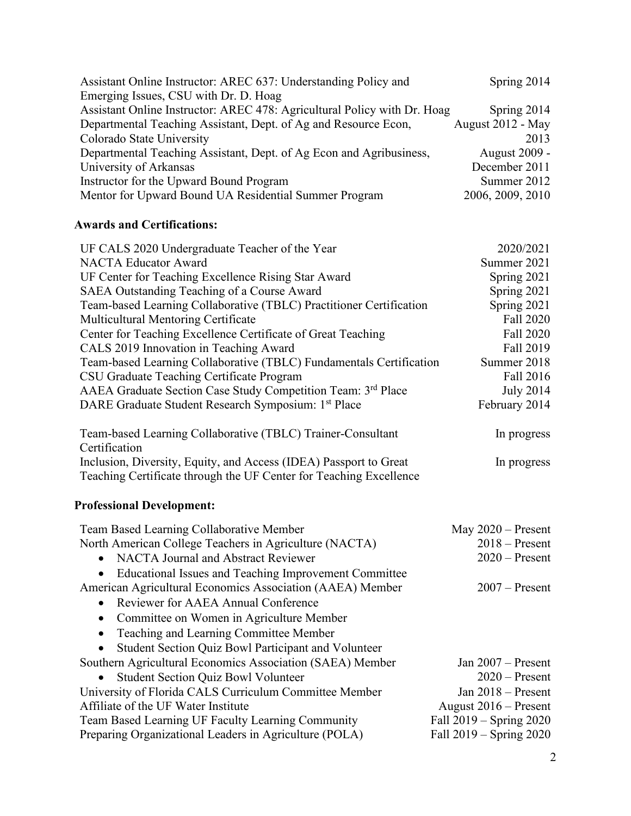| Assistant Online Instructor: AREC 637: Understanding Policy and          | Spring 2014       |
|--------------------------------------------------------------------------|-------------------|
| Emerging Issues, CSU with Dr. D. Hoag                                    |                   |
| Assistant Online Instructor: AREC 478: Agricultural Policy with Dr. Hoag | Spring 2014       |
| Departmental Teaching Assistant, Dept. of Ag and Resource Econ,          | August 2012 - May |
| Colorado State University                                                | 2013              |
| Departmental Teaching Assistant, Dept. of Ag Econ and Agribusiness,      | August 2009 -     |
| University of Arkansas                                                   | December 2011     |
| Instructor for the Upward Bound Program                                  | Summer 2012       |
| Mentor for Upward Bound UA Residential Summer Program                    | 2006, 2009, 2010  |

# **Awards and Certifications:**

| UF CALS 2020 Undergraduate Teacher of the Year                      | 2020/2021        |
|---------------------------------------------------------------------|------------------|
| <b>NACTA Educator Award</b>                                         | Summer 2021      |
| UF Center for Teaching Excellence Rising Star Award                 | Spring 2021      |
| SAEA Outstanding Teaching of a Course Award                         | Spring 2021      |
| Team-based Learning Collaborative (TBLC) Practitioner Certification | Spring 2021      |
| Multicultural Mentoring Certificate                                 | Fall 2020        |
| Center for Teaching Excellence Certificate of Great Teaching        | Fall 2020        |
| CALS 2019 Innovation in Teaching Award                              | Fall 2019        |
| Team-based Learning Collaborative (TBLC) Fundamentals Certification | Summer 2018      |
| CSU Graduate Teaching Certificate Program                           | Fall 2016        |
| AAEA Graduate Section Case Study Competition Team: 3rd Place        | <b>July 2014</b> |
| DARE Graduate Student Research Symposium: 1 <sup>st</sup> Place     | February 2014    |
| Team-based Learning Collaborative (TBLC) Trainer-Consultant         | In progress      |
| Certification                                                       |                  |
| Inclusion, Diversity, Equity, and Access (IDEA) Passport to Great   | In progress      |

#### Inclusion, Diversity, Equity, and Access (IDEA) Passport to Great Teaching Certificate through the UF Center for Teaching Excellence

## **Professional Development:**

| Team Based Learning Collaborative Member                           | May $2020$ – Present        |
|--------------------------------------------------------------------|-----------------------------|
| North American College Teachers in Agriculture (NACTA)             | $2018 -$ Present            |
| NACTA Journal and Abstract Reviewer                                | $2020$ – Present            |
| Educational Issues and Teaching Improvement Committee<br>$\bullet$ |                             |
| American Agricultural Economics Association (AAEA) Member          | $2007 -$ Present            |
| Reviewer for AAEA Annual Conference<br>$\bullet$                   |                             |
| Committee on Women in Agriculture Member<br>$\bullet$              |                             |
| Teaching and Learning Committee Member<br>$\bullet$                |                             |
| Student Section Quiz Bowl Participant and Volunteer                |                             |
| Southern Agricultural Economics Association (SAEA) Member          | Jan $2007$ – Present        |
| <b>Student Section Quiz Bowl Volunteer</b>                         | $2020$ – Present            |
| University of Florida CALS Curriculum Committee Member             | Jan $2018$ – Present        |
| Affiliate of the UF Water Institute                                | August $2016$ – Present     |
| Team Based Learning UF Faculty Learning Community                  | Fall $2019 -$ Spring $2020$ |
| Preparing Organizational Leaders in Agriculture (POLA)             | Fall 2019 – Spring 2020     |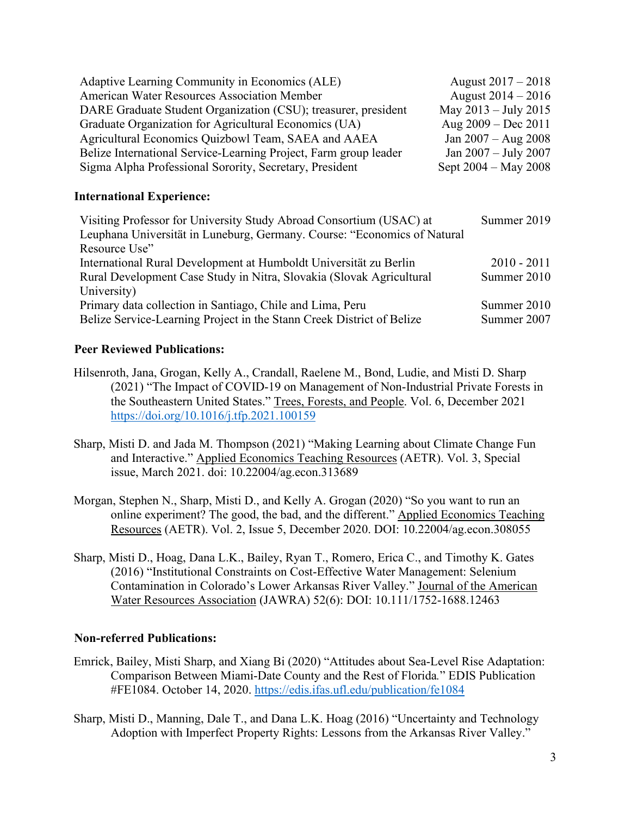| Adaptive Learning Community in Economics (ALE)                   | August $2017 - 2018$   |
|------------------------------------------------------------------|------------------------|
| <b>American Water Resources Association Member</b>               | August $2014 - 2016$   |
| DARE Graduate Student Organization (CSU); treasurer, president   | May $2013 - July 2015$ |
| Graduate Organization for Agricultural Economics (UA)            | Aug $2009 - Dec 2011$  |
| Agricultural Economics Quizbowl Team, SAEA and AAEA              | Jan $2007 - Aug\ 2008$ |
| Belize International Service-Learning Project, Farm group leader | Jan 2007 - July 2007   |
| Sigma Alpha Professional Sorority, Secretary, President          | Sept $2004 - May 2008$ |

#### **International Experience:**

| Visiting Professor for University Study Abroad Consortium (USAC) at      | Summer 2019   |
|--------------------------------------------------------------------------|---------------|
| Leuphana Universität in Luneburg, Germany. Course: "Economics of Natural |               |
| Resource Use"                                                            |               |
| International Rural Development at Humboldt Universität zu Berlin        | $2010 - 2011$ |
| Rural Development Case Study in Nitra, Slovakia (Slovak Agricultural     | Summer 2010   |
| University)                                                              |               |
| Primary data collection in Santiago, Chile and Lima, Peru                | Summer 2010   |
| Belize Service-Learning Project in the Stann Creek District of Belize    | Summer 2007   |
|                                                                          |               |

## **Peer Reviewed Publications:**

- Hilsenroth, Jana, Grogan, Kelly A., Crandall, Raelene M., Bond, Ludie, and Misti D. Sharp (2021) "The Impact of COVID-19 on Management of Non-Industrial Private Forests in the Southeastern United States." Trees, Forests, and People. Vol. 6, December 2021 [https://doi.org/10.1016/j.tfp.2021.100159](https://urldefense.proofpoint.com/v2/url?u=https-3A__doi.org_10.1016_j.tfp.2021.100159&d=DwMFaQ&c=sJ6xIWYx-zLMB3EPkvcnVg&r=Z9XWSE0PSZt_vsczCrYYYJLC33uzBEqyiqbc1HbsXAU&m=pVd1TRYbKzbFAINs59MaXSXN7_zX6cenQNR4D7MvhTJqAWRhsyD7RqKu-GXH1BCh&s=3ibkyHiHNa-psJAqj_X3VwpO0AS7Fn6V9qatpc6EpDs&e=)
- Sharp, Misti D. and Jada M. Thompson (2021) "Making Learning about Climate Change Fun and Interactive." Applied Economics Teaching Resources (AETR). Vol. 3, Special issue, March 2021. doi: 10.22004/ag.econ.313689
- Morgan, Stephen N., Sharp, Misti D., and Kelly A. Grogan (2020) "So you want to run an online experiment? The good, the bad, and the different." Applied Economics Teaching Resources (AETR). Vol. 2, Issue 5, December 2020. DOI: 10.22004/ag.econ.308055
- Sharp, Misti D., Hoag, Dana L.K., Bailey, Ryan T., Romero, Erica C., and Timothy K. Gates (2016) "Institutional Constraints on Cost-Effective Water Management: Selenium Contamination in Colorado's Lower Arkansas River Valley." Journal of the American Water Resources Association (JAWRA) 52(6): DOI: 10.111/1752-1688.12463

#### **Non-referred Publications:**

- Emrick, Bailey, Misti Sharp, and Xiang Bi (2020) "Attitudes about Sea-Level Rise Adaptation: Comparison Between Miami-Date County and the Rest of Florida*.*" EDIS Publication #FE1084. October 14, 2020.<https://edis.ifas.ufl.edu/publication/fe1084>
- Sharp, Misti D., Manning, Dale T., and Dana L.K. Hoag (2016) "Uncertainty and Technology Adoption with Imperfect Property Rights: Lessons from the Arkansas River Valley."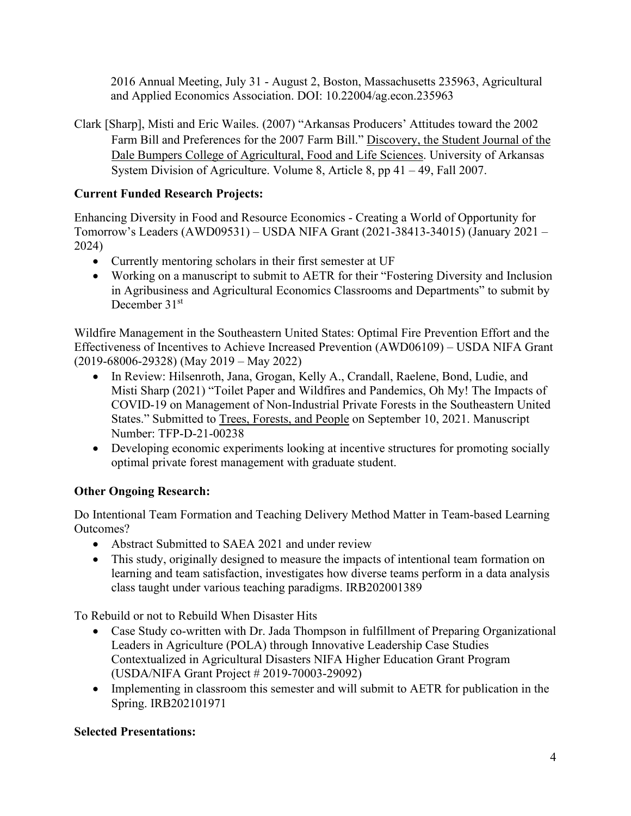2016 Annual Meeting, July 31 - August 2, Boston, Massachusetts 235963, Agricultural and Applied Economics Association. DOI: 10.22004/ag.econ.235963

Clark [Sharp], Misti and Eric Wailes. (2007) "Arkansas Producers' Attitudes toward the 2002 Farm Bill and Preferences for the 2007 Farm Bill." Discovery, the Student Journal of the Dale Bumpers College of Agricultural, Food and Life Sciences. University of Arkansas System Division of Agriculture. Volume 8, Article 8, pp 41 – 49, Fall 2007.

## **Current Funded Research Projects:**

Enhancing Diversity in Food and Resource Economics - Creating a World of Opportunity for Tomorrow's Leaders (AWD09531) – USDA NIFA Grant (2021-38413-34015) (January 2021 – 2024)

- Currently mentoring scholars in their first semester at UF
- Working on a manuscript to submit to AETR for their "Fostering Diversity and Inclusion in Agribusiness and Agricultural Economics Classrooms and Departments" to submit by December 31st

Wildfire Management in the Southeastern United States: Optimal Fire Prevention Effort and the Effectiveness of Incentives to Achieve Increased Prevention (AWD06109) – USDA NIFA Grant (2019-68006-29328) (May 2019 – May 2022)

- In Review: Hilsenroth, Jana, Grogan, Kelly A., Crandall, Raelene, Bond, Ludie, and Misti Sharp (2021) "Toilet Paper and Wildfires and Pandemics, Oh My! The Impacts of COVID-19 on Management of Non-Industrial Private Forests in the Southeastern United States." Submitted to Trees, Forests, and People on September 10, 2021. Manuscript Number: TFP-D-21-00238
- Developing economic experiments looking at incentive structures for promoting socially optimal private forest management with graduate student.

# **Other Ongoing Research:**

Do Intentional Team Formation and Teaching Delivery Method Matter in Team-based Learning Outcomes?

- Abstract Submitted to SAEA 2021 and under review
- This study, originally designed to measure the impacts of intentional team formation on learning and team satisfaction, investigates how diverse teams perform in a data analysis class taught under various teaching paradigms. IRB202001389

To Rebuild or not to Rebuild When Disaster Hits

- Case Study co-written with Dr. Jada Thompson in fulfillment of Preparing Organizational Leaders in Agriculture (POLA) through Innovative Leadership Case Studies Contextualized in Agricultural Disasters NIFA Higher Education Grant Program (USDA/NIFA Grant Project # 2019-70003-29092)
- Implementing in classroom this semester and will submit to AETR for publication in the Spring. IRB202101971

# **Selected Presentations:**